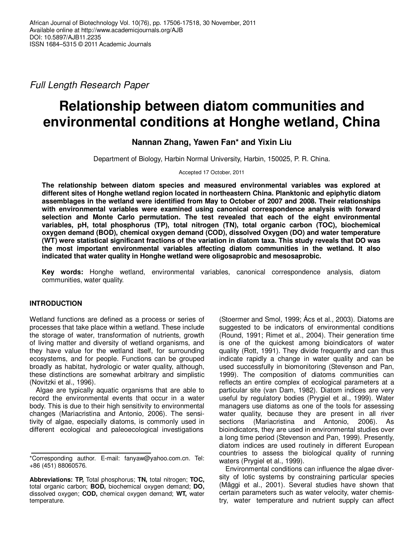Full Length Research Paper

# **Relationship between diatom communities and environmental conditions at Honghe wetland, China**

**Nannan Zhang, Yawen Fan\* and Yixin Liu**

Department of Biology, Harbin Normal University, Harbin, 150025, P. R. China.

Accepted 17 October, 2011

**The relationship between diatom species and measured environmental variables was explored at different sites of Honghe wetland region located in northeastern China. Planktonic and epiphytic diatom assemblages in the wetland were identified from May to October of 2007 and 2008. Their relationships with environmental variables were examined using canonical correspondence analysis with forward selection and Monte Carlo permutation. The test revealed that each of the eight environmental variables, pH, total phosphorus (TP), total nitrogen (TN), total organic carbon (TOC), biochemical oxygen demand (BOD), chemical oxygen demand (COD), dissolved Oxygen (DO) and water temperature (WT) were statistical significant fractions of the variation in diatom taxa. This study reveals that DO was the most important environmental variables affecting diatom communities in the wetland. It also indicated that water quality in Honghe wetland were oligosaprobic and mesosaprobic.** 

**Key words:** Honghe wetland, environmental variables, canonical correspondence analysis, diatom communities, water quality.

# **INTRODUCTION**

Wetland functions are defined as a process or series of processes that take place within a wetland. These include the storage of water, transformation of nutrients, growth of living matter and diversity of wetland organisms, and they have value for the wetland itself, for surrounding ecosystems, and for people. Functions can be grouped broadly as habitat, hydrologic or water quality, although, these distinctions are somewhat arbitrary and simplistic (Novitzki et al., 1996).

Algae are typically aquatic organisms that are able to record the environmental events that occur in a water body. This is due to their high sensitivity to environmental changes (Mariacristina and Antonio, 2006). The sensitivity of algae, especially diatoms, is commonly used in different ecological and paleoecological investigations

(Stoermer and Smol, 1999; Ács et al., 2003). Diatoms are suggested to be indicators of environmental conditions (Round, 1991; Rimet et al., 2004). Their generation time is one of the quickest among bioindicators of water quality (Rott, 1991). They divide frequently and can thus indicate rapidly a change in water quality and can be used successfully in biomonitoring (Stevenson and Pan, 1999). The composition of diatoms communities can reflects an entire complex of ecological parameters at a particular site (van Dam, 1982). Diatom indices are very useful by regulatory bodies (Prygiel et al., 1999). Water managers use diatoms as one of the tools for assessing water quality, because they are present in all river sections (Mariacristina and Antonio, 2006). As bioindicators, they are used in environmental studies over a long time period (Stevenson and Pan, 1999). Presently, diatom indices are used routinely in different European countries to assess the biological quality of running waters (Prygiel et al., 1999).

Environmental conditions can influence the algae diversity of lotic systems by constraining particular species (Mäggi et al., 2001). Several studies have shown that certain parameters such as water velocity, water chemistry, water temperature and nutrient supply can affect

<sup>\*</sup>Corresponding author. E-mail: fanyaw@yahoo.com.cn. Tel: +86 (451) 88060576.

**Abbreviations: TP,** Total phosphorus; **TN,** total nitrogen; **TOC,** total organic carbon; **BOD,** biochemical oxygen demand; **DO,** dissolved oxygen; **COD,** chemical oxygen demand; **WT,** water temperature.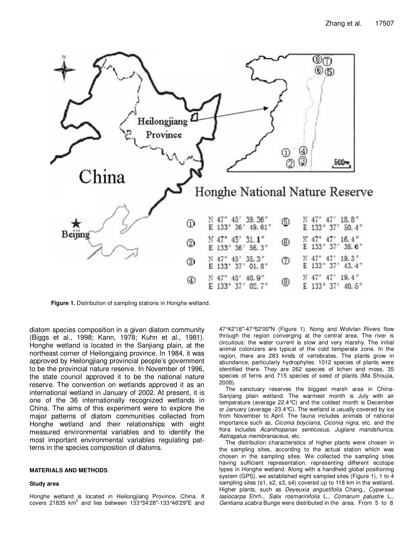

**Figure 1.** Distribution of sampling stations in Honghe wetland.

diatom species composition in a given diatom community (Biggs et al., 1998; Kann, 1978; Kuhn et al., 1981). Honghe wetland is located in the Sanjiang plain, at the northeast corner of Heilongjaing province. In 1984, it was approved by Heilongjiang provincial people's government to be the provincial nature reserve. In November of 1996, the state council approved it to be the national nature reserve. The convention on wetlands approved it as an international wetland in January of 2002. At present, it is one of the 36 internationally recognized wetlands in China. The aims of this experiment were to explore the major patterns of diatom communities collected from Honghe wetland and their relationships with eight measured environmental variables and to identify the most important environmental variables regulating patterns in the species composition of diatoms.

## **MATERIALS AND METHODS**

#### **Study area**

Honghe wetland is located in Heilongjiang Province, China. It covers 21835 km<sup>2</sup> and lies between 133°34′28″-133°46′29″E and

47°42′18″-47°52′00″N (Figure 1). Nong and Wolvlan Rivers flow through the region converging at the central area. The river is circuitous; the water current is slow and very marshy. The initial animal colonizers are typical of the cold temperate zone. In the region, there are 283 kinds of vertebrates. The plants grow in abundance, particularly hydrophytes. 1012 species of plants were identified there. They are 262 species of lichen and moss, 35 species of ferns and 715 species of seed of plants (Ma Shoujia, 2008).

The sanctuary reserves the biggest marsh area in China-Sanjiang plain wetland. The warmest month is July with air temperature (average 22.4°C) and the coldest month is December or January (average -23.4°C). The wetland is usually covered by ice from November to April. The fauna includes animals of national importance such as, Ciconia boyciana, Ciconia nigra, etc. and the flora includes Acanthopanax senticosus, Juglans mandshurica, Astragalus membranaceus, etc.

The distribution characteristics of higher plants were chosen in the sampling sites, according to the actual station which was chosen in the sampling sites. We collected the sampling sites having sufficient representation, representing different ecotope types in Honghe wetland. Along with a handheld global positioning system (GPS), we established eight sampled sites (Figure 1), 1 to 4 sampling sites (s1, s2, s3, s4) covered up to 118 km in the wetland. Higher plants, such as Deyeuxia angustifolia Chang., Cypereae lasiocarpa Ehrh., Salix rosmarinifolia L., Comarum palustre L., Gentiana scabra Bunge were distributed in the area. From 5 to 8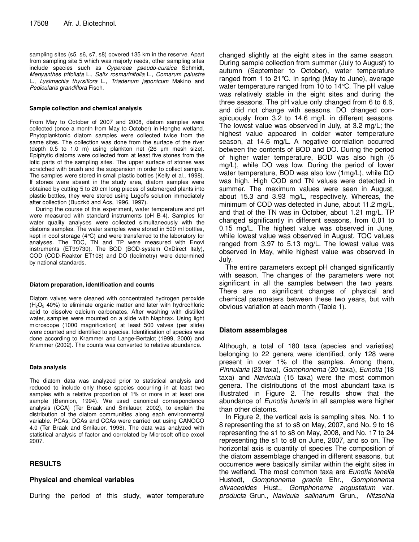sampling sites (s5, s6, s7, s8) covered 135 km in the reserve. Apart from sampling site 5 which was majorly reeds, other sampling sites include species such as Cypereae pseudo-curaica Schmidt, Menyanthes trifoliata L., Salix rosmarinifolia L., Comarum palustre L., Lysimachia thyrsiflora L., Triadenum japonicum Makino and Pedicularis grandiflora Fisch.

## **Sample collection and chemical analysis**

From May to October of 2007 and 2008, diatom samples were collected (once a month from May to October) in Honghe wetland. Phytoplanktonic diatom samples were collected twice from the same sites. The collection was done from the surface of the river (depth 0.5 to 1.0 m) using plankton net (26 µm mesh size). Epiphytic diatoms were collected from at least five stones from the lotic parts of the sampling sites. The upper surface of stones was scratched with brush and the suspension in order to collect sample. The samples were stored in small plastic bottles (Kelly et al., 1998). If stones were absent in the study area, diatom samples were obtained by cutting 5 to 20 cm long pieces of submerged plants into plastic bottles, they were stored using Lugol's solution immediately after collection (Buczkó and Ács, 1996, 1997).

During the course of this experiment, water temperature and pH were measured with standard instruments (pH B-4). Samples for water quality analyses were collected simultaneously with the diatoms samples. The water samples were stored in 500 ml bottles, kept in cool storage (4°C) and were transferred to the laboratory for analyses. The TOC, TN and TP were measured with Enovi instruments (ET99730). The BOD (BOD-system OxDirect Italy), COD (COD-Reaktor ET108) and DO (Iodimetry) were determined by national standards.

### **Diatom preparation, identification and counts**

Diatom valves were cleaned with concentrated hydrogen peroxide  $(H<sub>2</sub>O<sub>2</sub> 40%)$  to eliminate organic matter and later with hydrochloric acid to dissolve calcium carbonates. After washing with distilled water, samples were mounted on a slide with Naphrax. Using light microscope (1000 magnification) at least 500 valves (per slide) were counted and identified to species. Identification of species was done according to Krammer and Lange-Bertalot (1999, 2000) and Krammer (2002). The counts was converted to relative abundance.

### **Data analysis**

The diatom data was analyzed prior to statistical analysis and reduced to include only those species occurring in at least two samples with a relative proportion of 1% or more in at least one sample (Bennion, 1994). We used canonical correspondence analysis (CCA) (Ter Braak and Smilauer, 2002), to explain the distribution of the diatom communities along each environmental variable. PCAs, DCAs and CCAs were carried out using CANOCO 4.0 (Ter Braak and Smilauer, 1998). The data was analyzed with statistical analysis of factor and correlated by Microsoft office excel 2007.

## **RESULTS**

## **Physical and chemical variables**

During the period of this study, water temperature

changed slightly at the eight sites in the same season. During sample collection from summer (July to August) to autumn (September to October), water temperature ranged from 1 to 21°C. In spring (May to June), average water temperature ranged from 10 to 14°C. The pH value was relatively stable in the eight sites and during the three seasons. The pH value only changed from 6 to 6.6, and did not change with seasons. DO changed conspicuously from 3.2 to 14.6 mg/L in different seasons. The lowest value was observed in July, at 3.2 mg/L; the highest value appeared in colder water temperature season, at 14.6 mg/L. A negative correlation occurred between the contents of BOD and DO. During the period of higher water temperature, BOD was also high (5 mg/L), while DO was low. During the period of lower water temperature, BOD was also low (1mg/L), while DO was high. High COD and TN values were detected in summer. The maximum values were seen in August, about 15.3 and 3.93 mg/L, respectively. Whereas, the minimum of COD was detected in June, about 11.2 mg/L, and that of the TN was in October, about 1.21 mg/L. TP changed significantly in different seasons, from 0.01 to 0.15 mg/L. The highest value was observed in June, while lowest value was observed in August. TOC values ranged from 3.97 to 5.13 mg/L. The lowest value was observed in May, while highest value was observed in July.

The entire parameters except pH changed significantly with season. The changes of the parameters were not significant in all the samples between the two years. There are no significant changes of physical and chemical parameters between these two years, but with obvious variation at each month (Table 1).

## **Diatom assemblages**

Although, a total of 180 taxa (species and varieties) belonging to 22 genera were identified, only 128 were present in over 1% of the samples. Among them, Pinnularia (23 taxa), Gomphonema (20 taxa), Eunotia (18 taxa) and Navicula (15 taxa) were the most common genera. The distributions of the most abundant taxa is illustrated in Figure 2. The results show that the abundance of Eunotia lunaris in all samples were higher than other diatoms.

In Figure 2, the vertical axis is sampling sites, No. 1 to 8 representing the s1 to s8 on May, 2007, and No. 9 to 16 representing the s1 to s8 on May, 2008, and No. 17 to 24 representing the s1 to s8 on June, 2007, and so on. The horizontal axis is quantity of species The composition of the diatom assemblage changed in different seasons, but occurrence were basically similar within the eight sites in the wetland. The most common taxa are Eunotia tenella Hustedt, Gomphonema gracile Ehr., Gomphonema olivaceoides Hust., Gomphonema angustatum var. producta Grun., Navicula salinarum Grun., Nitzschia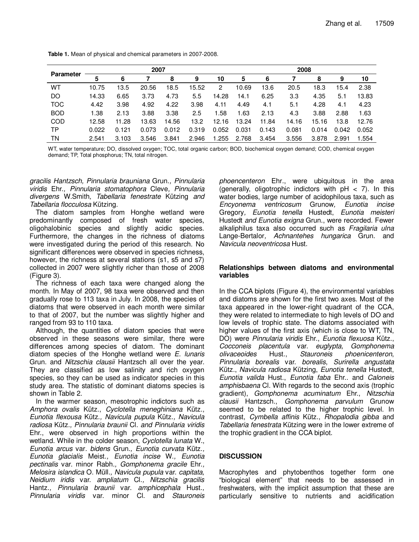| <b>Parameter</b> | 2007  |       |       |       |       | 2008  |       |       |       |       |       |       |
|------------------|-------|-------|-------|-------|-------|-------|-------|-------|-------|-------|-------|-------|
|                  | 5     | 6     |       | 8     | 9     | 10    | 5     | 6     |       | 8     | 9     | 10    |
| WТ               | 10.75 | 13.5  | 20.56 | 18.5  | 15.52 | 2     | 10.69 | 13.6  | 20.5  | 18.3  | 15.4  | 2.38  |
| DO               | 14.33 | 6.65  | 3.73  | 4.73  | 5.5   | 14.28 | 14.1  | 6.25  | 3.3   | 4.35  | 5.1   | 13.83 |
| <b>TOC</b>       | 4.42  | 3.98  | 4.92  | 4.22  | 3.98  | 4.11  | 4.49  | 4.1   | 5.1   | 4.28  | 4.1   | 4.23  |
| <b>BOD</b>       | 1.38  | 2.13  | 3.88  | 3.38  | 2.5   | 1.58  | 1.63  | 2.13  | 4.3   | 3.88  | 2.88  | 1.63  |
| COD              | 12.58 | 11.28 | 13.63 | 14.56 | 13.2  | 12.16 | 13.24 | 11.84 | 14.16 | 15.16 | 13.8  | 12.76 |
| ТP               | 0.022 | 0.121 | 0.073 | 0.012 | 0.319 | 0.052 | 0.031 | 0.143 | 0.081 | 0.014 | 0.042 | 0.052 |
| ΤN               | 2.541 | 3.103 | 3.546 | 3.841 | 2.946 | 1.255 | 2.768 | 3.454 | 3.556 | 3.878 | 2.991 | 1.554 |

**Table 1.** Mean of physical and chemical parameters in 2007-2008.

WT, water temperature; DO, dissolved oxygen; TOC, total organic carbon; BOD, biochemical oxygen demand; COD, chemical oxygen demand; TP, Total phosphorus; TN, total nitrogen.

gracilis Hantzsch, Pinnularia brauniana Grun., Pinnularia viridis Ehr., Pinnularia stomatophora Cleve, Pinnularia divergens W.Smith, Tabellaria fenestrate Kützing and Tabellaria flocculosa Kützing.

The diatom samples from Honghe wetland were predominantly composed of fresh water species, oligohalobinic species and slightly acidic species. Furthermore, the changes in the richness of diatoms were investigated during the period of this research. No significant differences were observed in species richness, however, the richness at several stations (s1, s5 and s7) collected in 2007 were slightly richer than those of 2008 (Figure 3).

The richness of each taxa were changed along the month. In May of 2007, 98 taxa were observed and then gradually rose to 113 taxa in July. In 2008, the species of diatoms that were observed in each month were similar to that of 2007, but the number was slightly higher and ranged from 93 to 110 taxa.

Although, the quantities of diatom species that were observed in these seasons were similar, there were differences among species of diatom. The dominant diatom species of the Honghe wetland were  $E$ . *lunaris* Grun. and Nitzschia clausii Hantzsch all over the year. They are classified as low salinity and rich oxygen species, so they can be used as indicator species in this study area. The statistic of dominant diatoms species is shown in Table 2.

In the warmer season, mesotrophic indictors such as Amphora ovalis Kütz., Cyclotella meneghiniana Kütz., Eunotia flexousa Kütz., Navicula pupula Kütz., Navicula radiosa Kütz., Pinnularia braunii Cl. and Pinnularia viridis Ehr., were observed in high proportions within the wetland. While in the colder season, Cyclotella lunata W., Eunotia arcus var. bidens Grun., Eunotia curvata Kütz., Eunotia glacialis Meist., Eunotia incise W., Eunotia pectinalis var. minor Rabh., Gomphonema gracile Ehr., Melosira islandica O. Müll., Navicula pupula var. capitata, Neidium iridis var. ampliatum Cl., Nitzschia gracilis Hantz., Pinnularia braunii var. amphicephala Hust., Pinnularia viridis var. minor Cl. and Stauroneis

phoencenteron Ehr., were ubiquitous in the area (generally, oligotrophic indictors with  $pH < 7$ ). In this water bodies, large number of acidophilous taxa, such as Encyonema ventricosum Grunow, Eunotia incise Gregory, Eunotia tenella Hustedt, Eunotia meisteri Hustedt and Eunotia exigna Grun., were recorded. Fewer alkaliphilus taxa also occurred such as Fragilaria ulna Lange-Bertalor, Achnantehes hungarica Grun. and Navicula neoventricosa Hust.

## **Relationships between diatoms and environmental variables**

In the CCA biplots (Figure 4), the environmental variables and diatoms are shown for the first two axes. Most of the taxa appeared in the lower-right quadrant of the CCA, they were related to intermediate to high levels of DO and low levels of trophic state. The diatoms associated with higher values of the first axis (which is close to WT, TN, DO) were Pinnularia viridis Ehr., Eunotia flexuosa Kütz., Cocconeis placentula var. euglypta, Gomphonema olivaceoides Hust., Stauroneis phoenicenteron, Pinnularia borealis var. borealis, Surirella angustata Kütz., Navicula radiosa Kützing, Eunotia tenella Hustedt, Eunotia valida Hust., Eunotia faba Ehr.. and Caloneis amphisbaena Cl. With regards to the second axis (trophic gradient), Gomphonema acuminatum Ehr., Nitzschia clausii Hantzsch., Gomphonema parvulum Grunow seemed to be related to the higher trophic level. In contrast, Cymbella affinis Kütz., Rhopalodia gibba and Tabellaria fenestrata Kützing were in the lower extreme of the trophic gradient in the CCA biplot.

# **DISCUSSION**

Macrophytes and phytobenthos together form one "biological element" that needs to be assessed in freshwaters, with the implicit assumption that these are particularly sensitive to nutrients and acidification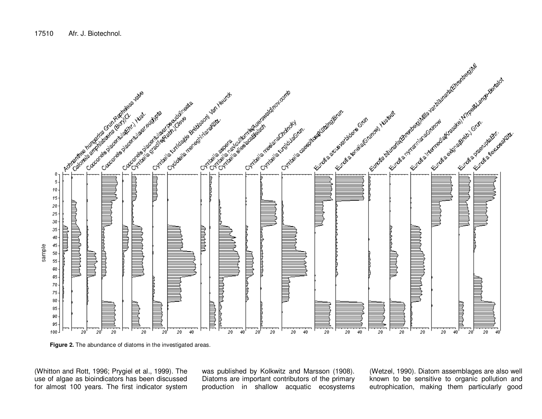

**Figure 2.** The abundance of diatoms in the investigated areas.

(Whitton and Rott, 1996; Prygiel et al., 1999). The use of algae as bioindicators has been discussed for almost 100 years. The first indicator system was published by Kolkwitz and Marsson (1908). Diatoms are important contributors of the primary production in shallow acquatic ecosystems (Wetzel, 1990). Diatom assemblages are also well known to be sensitive to organic pollution and eutrophication, making them particularly good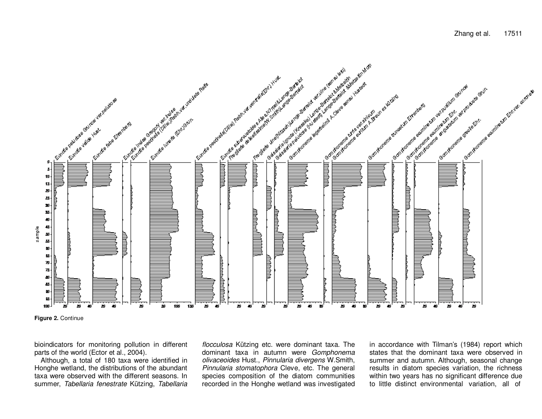

**Figure 2.** Continue

bioindicators for monitoring pollution in different parts of the world (Ector et al., 2004).

 Although, a total of 180 taxa were identified in Honghe wetland, the distributions of the abundant taxa were observed with the different seasons. In summer, Tabellaria fenestrate Kützing, Tabellaria flocculosa Kützing etc. were dominant taxa. The dominant taxa in autumn were Gomphonema olivaceoides Hust., Pinnularia divergens W.Smith, Pinnularia stomatophora Cleve, etc. The general species composition of the diatom communities recorded in the Honghe wetland was investigated

in accordance with Tilman's (1984) report which states that the dominant taxa were observed in summer and autumn. Although, seasonal change results in diatom species variation, the richness within two years has no significant difference due to little distinct environmental variation, all of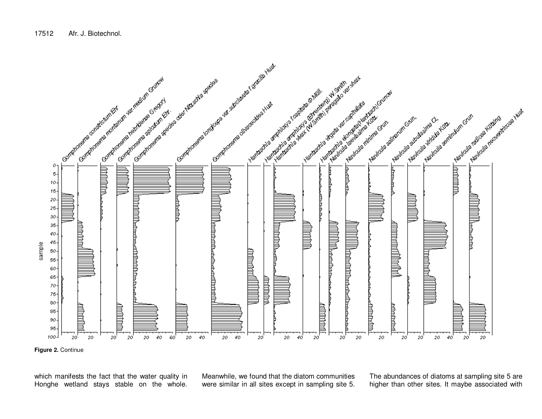

**Figure 2.** Continue

which manifests the fact that the water quality in Honghe wetland stays stable on the whole. Meanwhile, we found that the diatom communities were similar in all sites except in sampling site 5. The abundances of diatoms at sampling site 5 are higher than other sites. It maybe associated with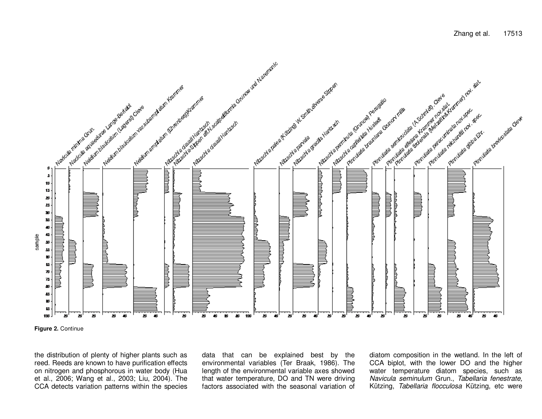

**Figure 2.** Continue

the distribution of plenty of higher plants such as reed. Reeds are known to have purification effects on nitrogen and phosphorous in water body (Hua et al., 2006; Wang et al., 2003; Liu, 2004). The CCA detects variation patterns within the species data that can be explained best by the environmental variables (Ter Braak, 1986). The length of the environmental variable axes showed that water temperature, DO and TN were driving factors associated with the seasonal variation of diatom composition in the wetland. In the left of CCA biplot, with the lower DO and the higher water temperature diatom species, such as Navicula seminulum Grun., Tabellaria fenestrate,Kützing, Tabellaria flocculosa Kützing, etc were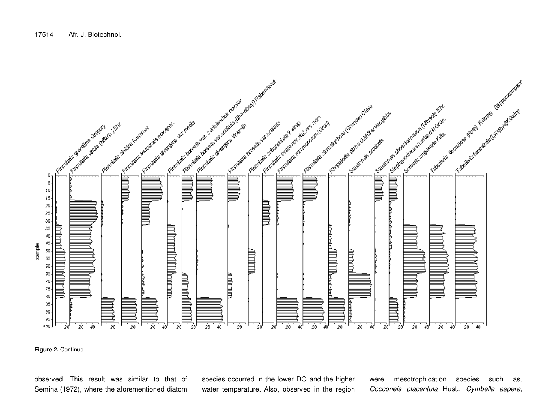

**Figure 2.** Continue

observed. This result was similar to that of Semina (1972), where the aforementioned diatom

species occurred in the lower DO and the higher water temperature. Also, observed in the region were mesotrophication species such as, Cocconeis placentula Hust., Cymbella aspera,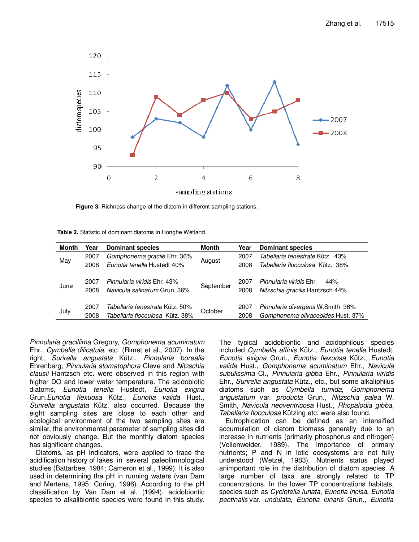

**Figure 3.** Richness change of the diatom in different sampling stations.

| Table 2. Statistic of dominant diatoms in Honghe Wetland. |  |
|-----------------------------------------------------------|--|
|-----------------------------------------------------------|--|

| <b>Month</b> | Year         | <b>Dominant species</b>                                            | <b>Month</b> | Year         | <b>Dominant species</b>                                                  |
|--------------|--------------|--------------------------------------------------------------------|--------------|--------------|--------------------------------------------------------------------------|
| May          | 2007         | Gomphonema gracile Ehr. 36%                                        | August       | 2007         | Tabellaria fenestrate Kütz. 43%                                          |
|              | 2008         | Eunotia tenella Hustedt 40%                                        |              | 2008         | Tabellaria flocculosa Kütz. 38%                                          |
| June         | 2007<br>2008 | Pinnularia viridis Ehr. 43%<br>Navicula salinarum Grun, 36%        | September    | 2007<br>2008 | <i>Pinnularia viridis</i> Ehr.<br>44%<br>Nitzschia gracilis Hantzsch 44% |
| July         | 2007<br>2008 | Tabellaria fenestrate Kütz. 50%<br>Tabellaria flocculosa Kütz. 38% | October      | 2007<br>2008 | Pinnularia divergens W.Smith 36%<br>Gomphonema olivaceoides Hust. 37%    |

Pinnularia gracillima Gregory, Gomphonema acuminatum Ehr., Cymbella dilicatula, etc. (Rimet et al., 2007). In the right, Surirella angustata Kütz., Pinnularia borealis Ehrenberg, Pinnularia stomatophora Cleve and Nitzschia clausii Hantzsch etc. were observed in this region with higher DO and lower water temperature. The acidobiotic diatoms, Eunotia tenella Hustedt, Eunotia exigna Grun.Eunotia flexuosa Kütz., Eunotia valida Hust., Surirella angustata Kütz. also occurred. Because the eight sampling sites are close to each other and ecological environment of the two sampling sites are similar, the environmental parameter of sampling sites did not obviously change. But the monthly diatom species has significant changes.

Diatoms, as pH indicators, were applied to trace the acidification history of lakes in several paleolimnological studies (Battarbee, 1984; Cameron et al., 1999). It is also used in determining the pH in running waters (van Dam and Mertens, 1995; Coring, 1996). According to the pH classification by Van Dam et al. (1994), acidobiontic species to alkalibiontic species were found in this study. The typical acidobiontic and acidophilous species included Cymbella affinis Kütz., Eunotia tenella Hustedt, Eunotia exigna Grun., Eunotia flexuosa Kütz., Eunotia valida Hust., Gomphonema acuminatum Ehr., Navicula subulissima Cl., Pinnularia gibba Ehr., Pinnularia viridis Ehr., Surirella angustata Kütz., etc., but some alkaliphilus diatoms such as Cymbella tumida, Gomphonema angustatum var. producta Grun., Nitzschia palea W. Smith, Navicula neoventricosa Hust., Rhopalodia gibba, Tabellaria flocculosa Kützing etc. were also found.

Eutrophication can be defined as an intensified accumulation of diatom biomass generally due to an increase in nutrients (primarily phosphorus and nitrogen) (Vollenweider, 1989). The importance of primary nutrients; P and N in lotic ecosystems are not fully understood (Wetzel, 1983). Nutrients status played animportant role in the distribution of diatom species. A large number of taxa are strongly related to TP concentrations. In the lower TP concentrations habitats, species such as Cyclotella lunata, Eunotia incisa, Eunotia pectinalis var. undulata, Eunotia lunaris Grun., Eunotia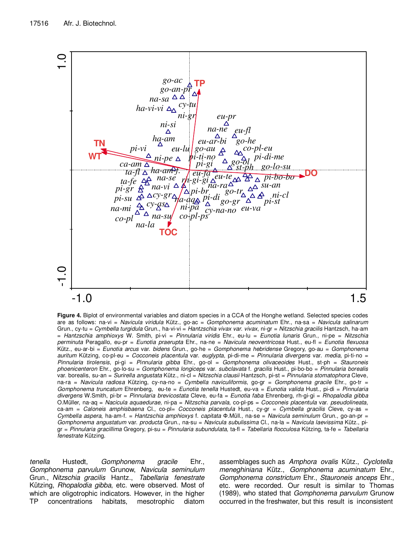

**Figure 4.** Biplot of environmental variables and diatom species in a CCA of the Honghe wetland. Selected species codes are as follows: na-vi = Navicula viridula Kütz., go-ac = Gomphonema acuminatum Ehr., na-sa = Navicula salinarum Grun., cy-tu = Cymbella turgidula Grun., ha-vi-vi = Hantzschia vivax var. vivax, ni-gr = Nitzschia gracilis Hantzsch, ha-am = Hantzschia amphioxys W. Smith, pi-vi = Pinnularia viridis Ehr., eu-lu = Eunotia lunaris Grun., ni-pe = Nitzschia perminuta Peragallo, eu-pr = Eunotia praerupta Ehr., na-ne = Navicula neoventricosa Hust., eu-fl = Eunotia flexuosa Kütz., eu-ar-bi = Eunotia arcus var. bidens Grun., go-he = Gomphonema hebridense Gregory, go-au = Gomphonema auritum Kützing, co-pl-eu = Cocconeis placentula var. euglypta, pi-di-me = Pinnularia divergens var. media, pi-ti-no = Pinnularia tirolensis, pi-gi = Pinnularia gibba Ehr., go-ol = Gomphonema olivaceoides Hust., st-ph = Stauroneis phoenicenteron Ehr., go-lo-su = Gomphonema longiceps var. subclavata f. gracilis Hust., pi-bo-bo = Pinnularia borealis var. borealis, su-an = Surirella angustata Kütz., ni-cl = Nitzschia clausii Hantzsch, pi-st = Pinnularia stomatophora Cleve, na-ra = Navicula radiosa Kützing, cy-na-no = Cymbella naviculiformis, go-gr = Gomphonema gracile Ehr., go-tr = Gomphonema truncatum Ehrenberg, eu-te = Eunotia tenella Hustedt, eu-va = Eunotia valida Hust., pi-di = Pinnularia divergens W.Smith, pi-br = Pinnularia brevicostata Cleve, eu-fa = Eunotia faba Ehrenberg, rh-gi-gi = Rhopalodia gibba O.Müller, na-aq = Nacicula aquaedurae, ni-pa = Nitzschia parvala, co-pl-ps = Cocconeis placentula var. pseudolineata, ca-am = Caloneis amphisbaena Cl., co-pl= Cocconeis placentula Hust., cy-gr = Cymbella gracilis Cleve, cy-as = Cymbella aspera, ha-am-f. = Hantzschia amphioxys f. capitata Ф.Müll., na-se = Navicula seminulum Grun., go-an-pr = Gomphonema angustatum var. producta Grun., na-su = Navicula subulissima Cl., na-la = Navicula laevissima Kütz., pigr = Pinnularia gracillima Gregory, pi-su = Pinnularia subundulata, ta-fl = Tabellaria flocculosa Kützing, ta-fe = Tabellaria fenestrate Kützing.

tenella Hustedt, Gomphonema gracile Ehr., Gomphonema parvulum Grunow, Navicula seminulum Grun., Nitzschia gracilis Hantz., Tabellaria fenestrate Kützing, Rhopalodia gibba, etc. were observed. Most of which are oligotrophic indicators. However, in the higher TP concentrations habitats, mesotrophic diatom

assemblages such as Amphora ovalis Kütz., Cyclotella meneghiniana Kütz., Gomphonema acuminatum Ehr., Gomphonema constrictum Ehr., Stauroneis anceps Ehr., etc. were recorded. Our result is similar to Thomas (1989), who stated that Gomphonema parvulum Grunow occurred in the freshwater, but this result is inconsistent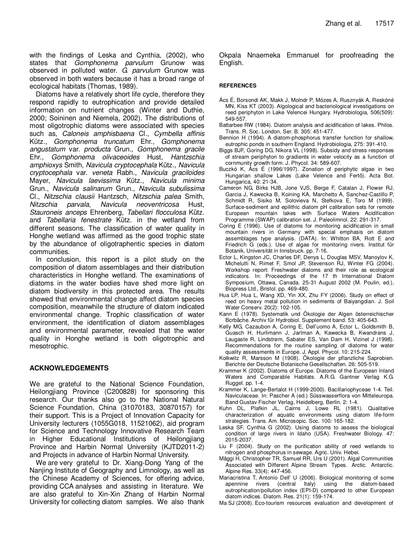with the findings of Leska and Cynthia, (2002), who states that Gomphonema parvulum Grunow was observed in polluted water. G. parvulum Grunow was observed in both waters because it has a broad range of ecological habitats (Thomas, 1989).

Diatoms have a relatively short life cycle, therefore they respond rapidly to eutrophication and provide detailed information on nutrient changes (Winter and Duthie, 2000; Soininen and Niemela, 2002). The distributions of most oligotrophic diatoms were associated with species such as, Caloneis amphisbaena Cl., Cymbella affinis Kütz., Gomphonema truncatum Ehr., Gomphonema angustatum var. producta Grun., Gomphonema gracile Ehr., Gomphonema olivaceoides Hust, Hantzschia amphioxys Smith, Navicula cryptocephala Kütz., Navicula cryptocephala var. veneta Rabh., Navicula graciloides Mayer, Navicula laevissima Kütz., Navicula minima Grun., Navicula salinarum Grun., Navicula subulissima Cl., Nitzschia clausii Hantzsch, Nitzschia palea Smith, Nitzschia parvala, Navicula neoventricosa Hust, Stauroneis anceps Ehrenberg, Tabellari flocculosa Kütz. and Tabellaria fenestrate Kütz. in the wetland from different seasons. The classification of water quality in Honghe wetland was affirmed as the good trophic state by the abundance of oligotraphentic species in diatom communities.

In conclusion, this report is a pilot study on the composition of diatom assemblages and their distribution characteristics in Honghe wetland. The examinations of diatoms in the water bodies have shed more light on diatom biodiversity in this protected area. The results showed that environmental change affect diatom species composition, meanwhile the structure of diatom indicated environmental change. Trophic classification of water environment, the identification of diatom assemblages and environmental parameter, revealed that the water quality in Honghe wetland is both oligotrophic and mesotrophic.

## **ACKNOWLEDGEMENTS**

We are grateful to the National Science Foundation, Heilongjiang Province (C200828) for sponsoring this research. Our thanks also go to the National Natural Science Foundation, China (31070183, 30870157) for their support. This is a Project of Innovation Capacity for University lecturers (1055G018, 11521062), aid program for Science and Technology Innovative Research Team in Higher Educational Institutions of Heilongjiang Province and Harbin Normal University (KJTD2011-2) and Projects in advance of Harbin Normal University.

We are very grateful to Dr. Xiang-Dong Yang of the Nanjing Institute of Geography and Limnology, as well as the Chinese Academy of Sciences, for offering advice, providing CCA analyses and assisting in literature. We are also grateful to Xin-Xin Zhang of Harbin Normal University for collecting diatom samples. We also thank Okpala Nnaemeka Emmanuel for proofreading the English.

## **REFERENCES**

- Ács É, Borsondi AK, Makk J, Molndr P, Mózes A, Rusznyák A, Reskóné MN, Kiss KT (2003). Algological and bacteriological investigations on reed periphyton in Lake Velencei Hungary. Hydrobiologia, 506(509): 549-557.
- Battarbee RW (1984). Diatom analysis and acidification of lakes. Philos. Trans. R. Soc. London, Ser. B. 305: 451-477.
- Bennion H (1994). A diatom-phosphorus transfer function for shallow, eutrophic ponds in southern England. Hydrobiologia, 275: 391-410.
- Biggs BJF, Goring DG, Nikora VL (1998). Subsidy and stress responses of stream periphyton to gradients in water velocity as a function of cornmunity growth form. J. Phycol. 34: 589-607.
- Buczkó K, Ács É (1996/1997). Zonation of periphytic algae in two Hungarian shallow Lakes (Lake Velence and Fertő). Acta Bot. Hungarica, 40: 21-34.
- Cameron NG, Birks HJB, Jone VJS, Berge F, Catalan J, Flower RJ, Garcia J, Kawecka B, Koining KA, Marchetto A, Sanchez-Castillo P, Schmidt R, Sisiko M, Solovieva N, Stefkova E, Toro M (1999). Surface-sediment and epilithic diatom pH calibration sets for remote European mountain lakes with Surface Waters Acidification Programme (SWAP) calibration set. J. Paleolimnol. 22: 291-317.
- Coring E (1996). Use of diatoms for monitoring acidification in small mountain rivers in Germany with special emphasis on diatom assemblages type analysis. (DATA). In: Whitton BA, Rott E and Friedrich G (eds.). Use of algae for monitoring rivers. Institut für Botanik, Universität in Innsbruck. pp. 7-16.
- Ector L, Kingston JC, Charles DF, Denys L, Douglas MSV, Manoylov K, Michelutti N, Rimet F, Smol JP, Stevenson RJ, Winter FG (2004). Workshop report: Freshwater diatoms and their role as ecological indicators. In: Proceedings of the 17 th International Diatom Symposium, Ottawa, Canada. 25-31 August 2002 (M. Poulin, ed.), Biopress Ltd., Bristol. pp. 469-480.
- Hua LP, Hua L, Wang XD, Yin XX, Zhu FY (2006). Study on effect of reed on heavy metal pollution in sediments of Baiyangdian. J. Soil Water Conserv. 20(2): 102-105.
- Kann E (1978). Systematik und Ökologie der Algen österreichischer Bcrbäche. Archiv für Hydrobiol. Supplement band. 53: 405-643.
- Kelly MG, Cazaubon A, Coring E, Dell'uomo A, Ector L, Goldsmith B, Guasch H, Hurlimann J, Jarlman A, Kawecka B, Kwandrans J, Laugaste R, Lindstrøm, Sabater ES, Van Dam H, Vizinet J (1998). Recommendations for the routine sampling of diatoms for water quality assessments in Europe. J. Appl. Phycol. 10: 215-224.
- Kolkwitz R, Marsson M (1908). Ökologie der pflanzliche Saprobien. Berichte der Deutsche Botanische Gesellschaften. 26: 505-519.
- Krammer K (2002). Diatoms of Europe. Diatoms of the European Inland Waters and Comparable Habitats. A.R.G. Gantner Verlag K.G. Ruggel. pp. 1-4.
- Krammer K, Lange-Bertalot H (1999-2000). Bacillariophyceae 1-4. Teil. Naviculaceae. In: Pascher A (ed.) Süsswasserflora von Mitteleuropa. Band Gustav Fischer Verlag, Heidelberg, Berlin. 2: 1-4.
- Kuhn DL, Plafkin JL, Cairns J, Lowe RL (1981). Qualitative characterization of aquatic environments using diatom life-form strategies. Trans. Am. Microsopic. Soc. 100: 165-182.
- Leska SF, Cynthia G (2002). Using diatoms to assess the biological condition of large rivers in Idaho (USA). Freshwater Biology. 47: 2015-2037.
- Liu F (2004). Study on the purification ability of reed wetlands to nitrogen and phosphorus in sewage. Agric. Univ. Hebei.
- Mäggi H, Christopher TR, Samuel RR, Urs U (2001). Algal Communities Associated with Different Alpine Stream Types. Arctic. Antarctic. Alpine Res. 33(4): 447-456.
- Mariacristina T, Antonio Dell' U (2006). Biological monitoring of some apennine rivers (central Italy) using the diatom-based eutrophication/pollution index (EPI-D) compared to other European diatom indices. Diatom. Res. 21(1): 159-174.
- Ma SJ (2008). Eco-tourism resources evaluation and development of